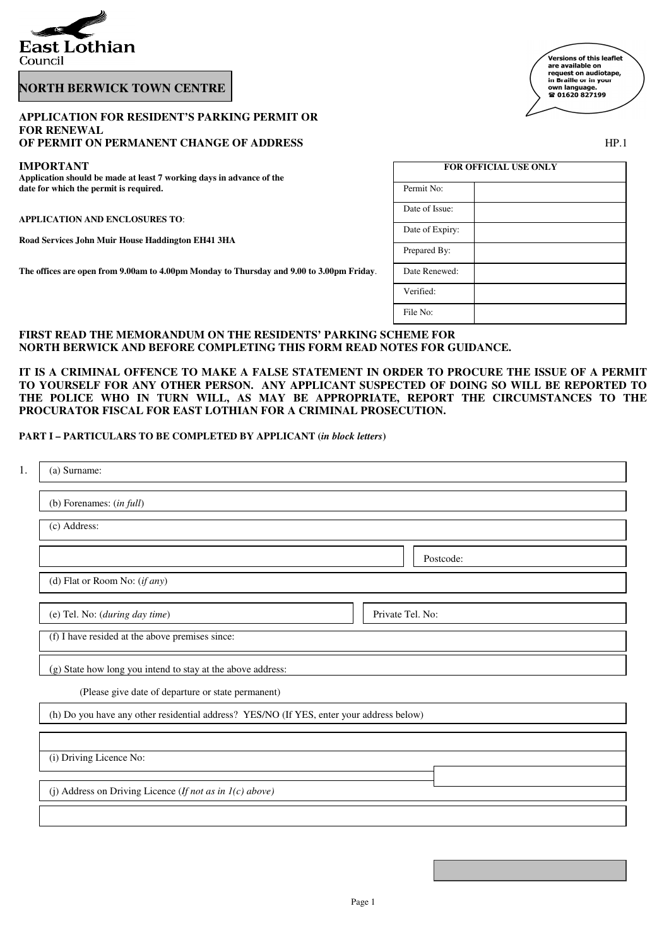

## **NORTH BERWICK TOWN CENTRE**

## **APPLICATION FOR RESIDENT'S PARKING PERMIT OR FOR RENEWAL**

# **OF PERMIT ON PERMANENT CHANGE OF ADDRESS**

### **IMPORTANT**

| <b>Versions of this leaflet</b> |  |
|---------------------------------|--|
| are available on                |  |
| request on audiotape,           |  |
| in Braille or in your           |  |
| own language.                   |  |
| 雷 01620 827199                  |  |
|                                 |  |
|                                 |  |

| I  |  |
|----|--|
| ۰. |  |
|    |  |

| <b>IMPORTANT</b><br>Application should be made at least 7 working days in advance of the | <b>FOR OFFICIAL USE ONLY</b> |  |  |
|------------------------------------------------------------------------------------------|------------------------------|--|--|
| date for which the permit is required.                                                   | Permit No:                   |  |  |
| <b>APPLICATION AND ENCLOSURES TO:</b>                                                    | Date of Issue:               |  |  |
| Road Services John Muir House Haddington EH41 3HA                                        | Date of Expiry:              |  |  |
|                                                                                          | Prepared By:                 |  |  |
| The offices are open from 9.00am to 4.00pm Monday to Thursday and 9.00 to 3.00pm Friday. | Date Renewed:                |  |  |
|                                                                                          | Verified:                    |  |  |
|                                                                                          | File No:                     |  |  |

## **FIRST READ THE MEMORANDUM ON THE RESIDENTS' PARKING SCHEME FOR NORTH BERWICK AND BEFORE COMPLETING THIS FORM READ NOTES FOR GUIDANCE.**

**IT IS A CRIMINAL OFFENCE TO MAKE A FALSE STATEMENT IN ORDER TO PROCURE THE ISSUE OF A PERMIT TO YOURSELF FOR ANY OTHER PERSON. ANY APPLICANT SUSPECTED OF DOING SO WILL BE REPORTED TO THE POLICE WHO IN TURN WILL, AS MAY BE APPROPRIATE, REPORT THE CIRCUMSTANCES TO THE PROCURATOR FISCAL FOR EAST LOTHIAN FOR A CRIMINAL PROSECUTION.**

## **PART I – PARTICULARS TO BE COMPLETED BY APPLICANT (***in block letters***)**

| (a) Surname:                                                                             |                  |
|------------------------------------------------------------------------------------------|------------------|
| (b) Forenames: $(infull)$                                                                |                  |
| (c) Address:                                                                             |                  |
|                                                                                          | Postcode:        |
| (d) Flat or Room No: (if any)                                                            |                  |
| (e) Tel. No: (during day time)                                                           | Private Tel. No: |
| (f) I have resided at the above premises since:                                          |                  |
| (g) State how long you intend to stay at the above address:                              |                  |
| (Please give date of departure or state permanent)                                       |                  |
| (h) Do you have any other residential address? YES/NO (If YES, enter your address below) |                  |
|                                                                                          |                  |
| (i) Driving Licence No:                                                                  |                  |
| (j) Address on Driving Licence (If not as in $I(c)$ above)                               |                  |
|                                                                                          |                  |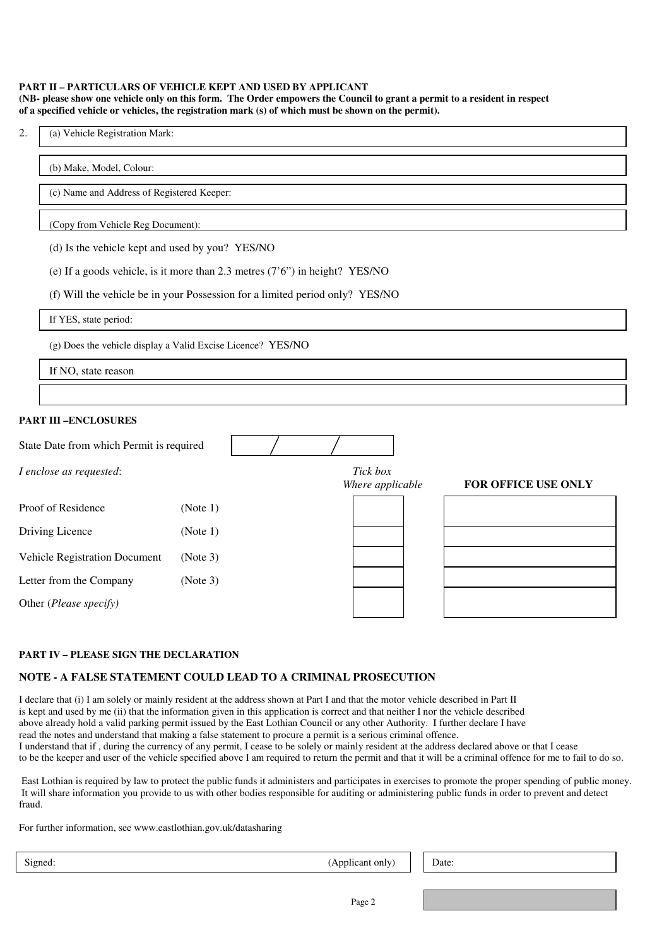#### **PART II – PARTICULARS OF VEHICLE KEPT AND USED BY APPLICANT (NB- please show one vehicle only on this form. The Order empowers the Council to grant a permit to a resident in respect of a specified vehicle or vehicles, the registration mark (s) of which must be shown on the permit).**

| ۷. | (a) Vehicle Registration Mark: |
|----|--------------------------------|
|----|--------------------------------|

#### (b) Make, Model, Colour:

(c) Name and Address of Registered Keeper:

#### (Copy from Vehicle Reg Document):

(d) Is the vehicle kept and used by you? YES/NO

| (e) If a goods vehicle, is it more than 2.3 metres $(7'6'')$ in height? YES/NO |  |  |  |
|--------------------------------------------------------------------------------|--|--|--|
|--------------------------------------------------------------------------------|--|--|--|

(f) Will the vehicle be in your Possession for a limited period only? YES/NO

If YES, state period:

(g) Does the vehicle display a Valid Excise Licence? YES/NO

If NO, state reason

#### **PART III –ENCLOSURES**

| State Date from which Permit is required |          |                              |                            |
|------------------------------------------|----------|------------------------------|----------------------------|
| I enclose as requested:                  |          | Tick box<br>Where applicable | <b>FOR OFFICE USE ONLY</b> |
| Proof of Residence                       | (Note 1) |                              |                            |
| Driving Licence                          | (Note 1) |                              |                            |
| <b>Vehicle Registration Document</b>     | (Note 3) |                              |                            |
| Letter from the Company                  | (Note 3) |                              |                            |
| Other (Please specify)                   |          |                              |                            |

#### **PART IV – PLEASE SIGN THE DECLARATION**

## **NOTE - A FALSE STATEMENT COULD LEAD TO A CRIMINAL PROSECUTION**

I declare that (i) I am solely or mainly resident at the address shown at Part I and that the motor vehicle described in Part II is kept and used by me (ii) that the information given in this application is correct and that neither I nor the vehicle described above already hold a valid parking permit issued by the East Lothian Council or any other Authority. I further declare I have read the notes and understand that making a false statement to procure a permit is a serious criminal offence. I understand that if , during the currency of any permit, I cease to be solely or mainly resident at the address declared above or that I cease to be the keeper and user of the vehicle specified above I am required to return the permit and that it will be a criminal offence for me to fail to do so.

 East Lothian is required by law to protect the public funds it administers and participates in exercises to promote the proper spending of public money. It will share information you provide to us with other bodies responsible for auditing or administering public funds in order to prevent and detect fraud.

For further information, see www.eastlothian.gov.uk/datasharing

 $(Applicant only)$  | Date: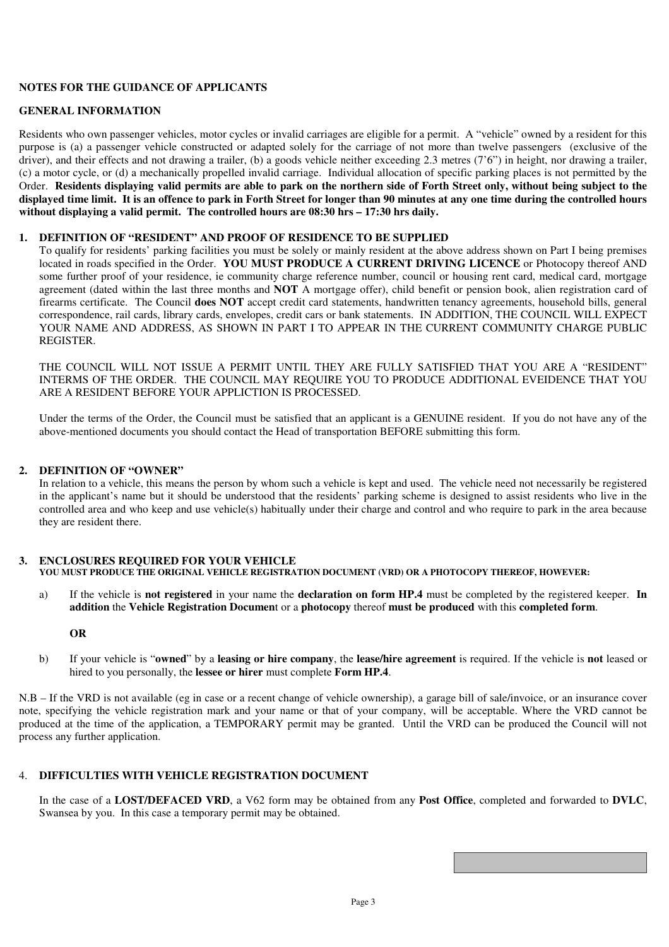## **NOTES FOR THE GUIDANCE OF APPLICANTS**

## **GENERAL INFORMATION**

Residents who own passenger vehicles, motor cycles or invalid carriages are eligible for a permit. A "vehicle" owned by a resident for this purpose is (a) a passenger vehicle constructed or adapted solely for the carriage of not more than twelve passengers (exclusive of the driver), and their effects and not drawing a trailer, (b) a goods vehicle neither exceeding 2.3 metres (7'6") in height, nor drawing a trailer, (c) a motor cycle, or (d) a mechanically propelled invalid carriage. Individual allocation of specific parking places is not permitted by the Order. **Residents displaying valid permits are able to park on the northern side of Forth Street only, without being subject to the displayed time limit. It is an offence to park in Forth Street for longer than 90 minutes at any one time during the controlled hours without displaying a valid permit. The controlled hours are 08:30 hrs – 17:30 hrs daily.** 

#### **1. DEFINITION OF "RESIDENT" AND PROOF OF RESIDENCE TO BE SUPPLIED**

To qualify for residents' parking facilities you must be solely or mainly resident at the above address shown on Part I being premises located in roads specified in the Order. **YOU MUST PRODUCE A CURRENT DRIVING LICENCE** or Photocopy thereof AND some further proof of your residence, ie community charge reference number, council or housing rent card, medical card, mortgage agreement (dated within the last three months and **NOT** A mortgage offer), child benefit or pension book, alien registration card of firearms certificate. The Council **does NOT** accept credit card statements, handwritten tenancy agreements, household bills, general correspondence, rail cards, library cards, envelopes, credit cars or bank statements. IN ADDITION, THE COUNCIL WILL EXPECT YOUR NAME AND ADDRESS, AS SHOWN IN PART I TO APPEAR IN THE CURRENT COMMUNITY CHARGE PUBLIC **REGISTER** 

THE COUNCIL WILL NOT ISSUE A PERMIT UNTIL THEY ARE FULLY SATISFIED THAT YOU ARE A "RESIDENT" INTERMS OF THE ORDER. THE COUNCIL MAY REQUIRE YOU TO PRODUCE ADDITIONAL EVEIDENCE THAT YOU ARE A RESIDENT BEFORE YOUR APPLICTION IS PROCESSED.

Under the terms of the Order, the Council must be satisfied that an applicant is a GENUINE resident. If you do not have any of the above-mentioned documents you should contact the Head of transportation BEFORE submitting this form.

## **2. DEFINITION OF "OWNER"**

In relation to a vehicle, this means the person by whom such a vehicle is kept and used. The vehicle need not necessarily be registered in the applicant's name but it should be understood that the residents' parking scheme is designed to assist residents who live in the controlled area and who keep and use vehicle(s) habitually under their charge and control and who require to park in the area because they are resident there.

#### **3. ENCLOSURES REQUIRED FOR YOUR VEHICLE YOU MUST PRODUCE THE ORIGINAL VEHICLE REGISTRATION DOCUMENT (VRD) OR A PHOTOCOPY THEREOF, HOWEVER:**

a) If the vehicle is **not registered** in your name the **declaration on form HP.4** must be completed by the registered keeper. **In addition** the **Vehicle Registration Documen**t or a **photocopy** thereof **must be produced** with this **completed form**.

## **OR**

b) If your vehicle is "**owned**" by a **leasing or hire company**, the **lease/hire agreement** is required. If the vehicle is **not** leased or hired to you personally, the **lessee or hirer** must complete **Form HP.4**.

N.B – If the VRD is not available (eg in case or a recent change of vehicle ownership), a garage bill of sale/invoice, or an insurance cover note, specifying the vehicle registration mark and your name or that of your company, will be acceptable. Where the VRD cannot be produced at the time of the application, a TEMPORARY permit may be granted. Until the VRD can be produced the Council will not process any further application.

## 4. **DIFFICULTIES WITH VEHICLE REGISTRATION DOCUMENT**

In the case of a **LOST/DEFACED VRD**, a V62 form may be obtained from any **Post Office**, completed and forwarded to **DVLC**, Swansea by you. In this case a temporary permit may be obtained.